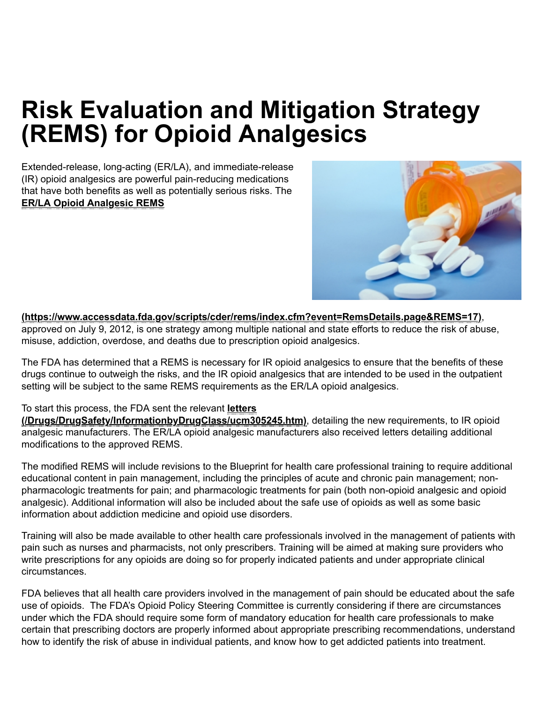# Risk Evaluation and Mitigation Strategy (REMS) for Opioid Analgesics

<span id="page-0-0"></span>Extended-release, long-acting (ER/LA), and immediate-release (IR) opioid analgesics are powerful pain-reducing medications that have both benefits as well as potentially serious risks. The ER/LA Opioid Analgesic REMS



#### [\(https://www.accessdata.fda.gov/scripts/cder/rems/index.cfm?event=RemsDetails.page&REMS=17\)](https://www.accessdata.fda.gov/scripts/cder/rems/index.cfm?event=RemsDetails.page&REMS=17),

approved on July 9, 2012, is one strategy among multiple national and state efforts to reduce the risk of abuse, misuse, addiction, overdose, and deaths due to prescription opioid analgesics.

The FDA has determined that a REMS is necessary for IR opioid analgesics to ensure that the benefits of these drugs continue to outweigh the risks, and the IR opioid analgesics that are intended to be used in the outpatient setting will be subject to the same REMS requirements as the ER/LA opioid analgesics.

### To start this process, the FDA sent the relevant letters

[\(/Drugs/DrugSafety/InformationbyDrugClass/ucm305245.htm\)](https://www.fda.gov/Drugs/DrugSafety/InformationbyDrugClass/ucm305245.htm), detailing the new requirements, to IR opioid analgesic manufacturers. The ER/LA opioid analgesic manufacturers also received letters detailing additional modifications to the approved REMS.

The modified REMS will include revisions to the Blueprint for health care professional training to require additional educational content in pain management, including the principles of acute and chronic pain management; nonpharmacologic treatments for pain; and pharmacologic treatments for pain (both non-opioid analgesic and opioid analgesic). Additional information will also be included about the safe use of opioids as well as some basic information about addiction medicine and opioid use disorders.

Training will also be made available to other health care professionals involved in the management of patients with pain such as nurses and pharmacists, not only prescribers. Training will be aimed at making sure providers who write prescriptions for any opioids are doing so for properly indicated patients and under appropriate clinical circumstances.

FDA believes that all health care providers involved in the management of pain should be educated about the safe use of opioids. The FDA's Opioid Policy Steering Committee is currently considering if there are circumstances under which the FDA should require some form of mandatory education for health care professionals to make certain that prescribing doctors are properly informed about appropriate prescribing recommendations, understand how to identify the risk of abuse in individual patients, and know how to get addicted patients into treatment.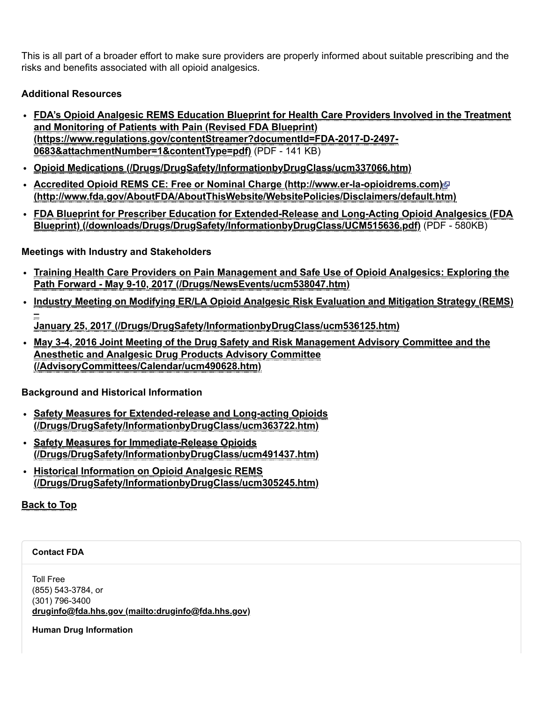This is all part of a broader effort to make sure providers are properly informed about suitable prescribing and the risks and benefits associated with all opioid analgesics.

## Additional Resources

- FDA's Opioid Analgesic REMS Education Blueprint for Health Care Providers Involved in the Treatment and Monitoring of Patients with Pain (Revised FDA Blueprint) [\(https://www.regulations.gov/contentStreamer?documentId=FDA-2017-D-2497-](https://www.regulations.gov/contentStreamer?documentId=FDA-2017-D-2497-0683&attachmentNumber=1&contentType=pdf) 0683&attachmentNumber=1&contentType=pdf) (PDF - 141 KB)
- Opioid Medications [\(/Drugs/DrugSafety/InformationbyDrugClass/ucm337066.htm\)](https://www.fda.gov/Drugs/DrugSafety/InformationbyDrugClass/ucm337066.htm)
- Accredited Opioid REMS CE: Free or Nominal Charge [\(http://www.er-la-opioidrems.com\)](http://www.er-la-opioidrems.com/) P [\(http://www.fda.gov/AboutFDA/AboutThisWebsite/WebsitePolicies/Disclaimers/default.htm\)](http://www.fda.gov/AboutFDA/AboutThisWebsite/WebsitePolicies/Disclaimers/default.htm)
- FDA Blueprint for Prescriber Education for Extended-Release and Long-Acting Opioid Analgesics (FDA Blueprint) [\(/downloads/Drugs/DrugSafety/InformationbyDrugClass/UCM515636.pdf\)](https://www.fda.gov/downloads/Drugs/DrugSafety/InformationbyDrugClass/UCM515636.pdf) (PDF - 580KB)

## Meetings with Industry and Stakeholders

- Training Health Care Providers on Pain Management and Safe Use of Opioid Analgesics: Exploring the Path Forward - May 9-10, 2017 [\(/Drugs/NewsEvents/ucm538047.htm\)](https://www.fda.gov/Drugs/NewsEvents/ucm538047.htm)
- Industry Meeting on Modifying ER/LA Opioid Analgesic Risk Evaluation and Mitigation Strategy (REMS) – January 25, 2017 [\(/Drugs/DrugSafety/InformationbyDrugClass/ucm536125.htm\)](https://www.fda.gov/Drugs/DrugSafety/InformationbyDrugClass/ucm536125.htm)
- May 3-4, 2016 Joint Meeting of the Drug Safety and Risk Management Advisory Committee and the Anesthetic and Analgesic Drug Products Advisory Committee [\(/AdvisoryCommittees/Calendar/ucm490628.htm\)](https://www.fda.gov/AdvisoryCommittees/Calendar/ucm490628.htm)

Background and Historical Information

- Safety Measures for Extended-release and Long-acting Opioids [\(/Drugs/DrugSafety/InformationbyDrugClass/ucm363722.htm\)](https://www.fda.gov/Drugs/DrugSafety/InformationbyDrugClass/ucm363722.htm)
- Safety Measures for Immediate-Release Opioids [\(/Drugs/DrugSafety/InformationbyDrugClass/ucm491437.htm\)](https://www.fda.gov/Drugs/DrugSafety/InformationbyDrugClass/ucm491437.htm)
- Historical Information on Opioid Analgesic REMS [\(/Drugs/DrugSafety/InformationbyDrugClass/ucm305245.htm\)](https://www.fda.gov/Drugs/DrugSafety/InformationbyDrugClass/ucm305245.htm)

## [Back](#page-0-0) to Top

#### Contact FDA

Toll Free (855) 543-3784, or (301) 796-3400 druginfo@fda.hhs.gov [\(mailto:druginfo@fda.hhs.gov\)](mailto:druginfo@fda.hhs.gov)

Human Drug Information